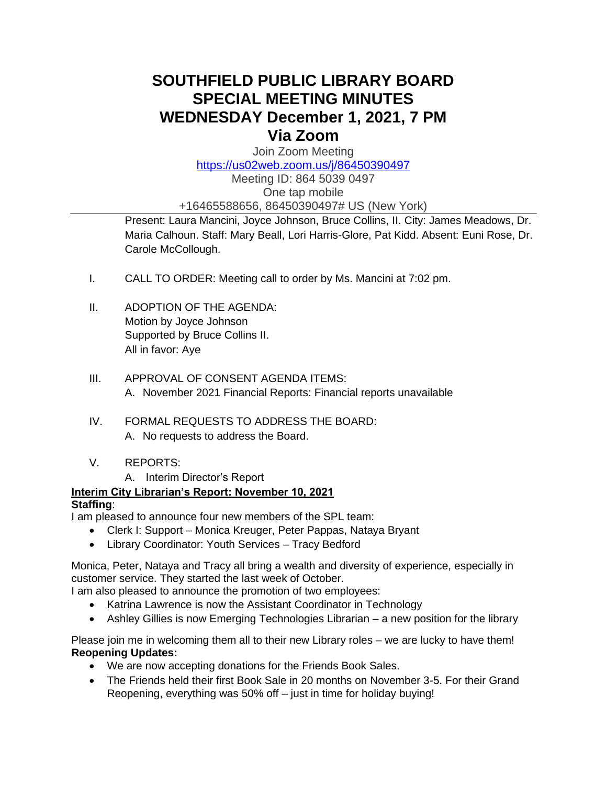# **SOUTHFIELD PUBLIC LIBRARY BOARD SPECIAL MEETING MINUTES WEDNESDAY December 1, 2021, 7 PM Via Zoom**

Join Zoom Meeting

<https://us02web.zoom.us/j/86450390497>

Meeting ID: 864 5039 0497 One tap mobile +16465588656, 86450390497# US (New York)

Present: Laura Mancini, Joyce Johnson, Bruce Collins, II. City: James Meadows, Dr. Maria Calhoun. Staff: Mary Beall, Lori Harris-Glore, Pat Kidd. Absent: Euni Rose, Dr. Carole McCollough.

- I. CALL TO ORDER: Meeting call to order by Ms. Mancini at 7:02 pm.
- II. ADOPTION OF THE AGENDA: Motion by Joyce Johnson Supported by Bruce Collins II. All in favor: Aye
- III. APPROVAL OF CONSENT AGENDA ITEMS: A. November 2021 Financial Reports: Financial reports unavailable
- IV. FORMAL REQUESTS TO ADDRESS THE BOARD: A. No requests to address the Board.
- V. REPORTS:
	- A. Interim Director's Report

## **Interim City Librarian's Report: November 10, 2021**

### **Staffing**:

I am pleased to announce four new members of the SPL team:

- Clerk I: Support Monica Kreuger, Peter Pappas, Nataya Bryant
- Library Coordinator: Youth Services Tracy Bedford

Monica, Peter, Nataya and Tracy all bring a wealth and diversity of experience, especially in customer service. They started the last week of October.

I am also pleased to announce the promotion of two employees:

- Katrina Lawrence is now the Assistant Coordinator in Technology
- Ashley Gillies is now Emerging Technologies Librarian a new position for the library

Please join me in welcoming them all to their new Library roles – we are lucky to have them! **Reopening Updates:**

- We are now accepting donations for the Friends Book Sales.
- The Friends held their first Book Sale in 20 months on November 3-5. For their Grand Reopening, everything was 50% off – just in time for holiday buying!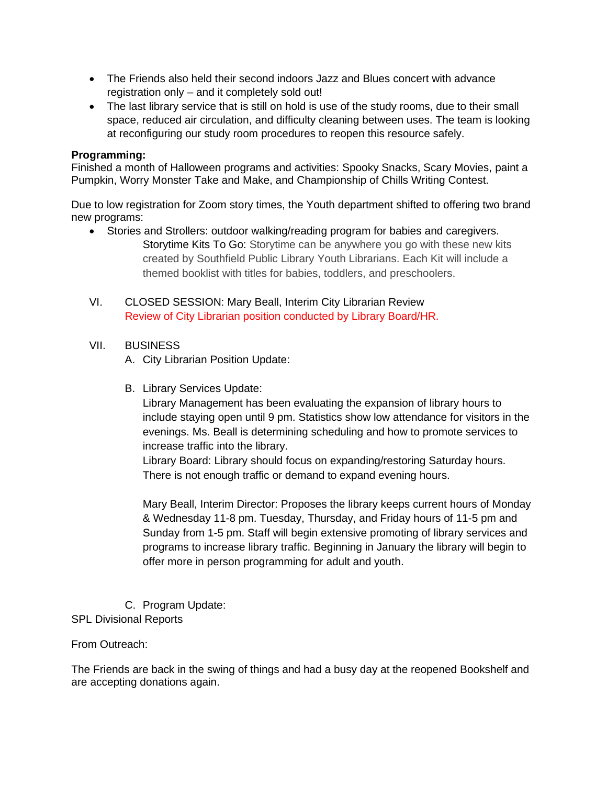- The Friends also held their second indoors Jazz and Blues concert with advance registration only – and it completely sold out!
- The last library service that is still on hold is use of the study rooms, due to their small space, reduced air circulation, and difficulty cleaning between uses. The team is looking at reconfiguring our study room procedures to reopen this resource safely.

#### **Programming:**

Finished a month of Halloween programs and activities: Spooky Snacks, Scary Movies, paint a Pumpkin, Worry Monster Take and Make, and Championship of Chills Writing Contest.

Due to low registration for Zoom story times, the Youth department shifted to offering two brand new programs:

- Stories and Strollers: outdoor walking/reading program for babies and caregivers. Storytime Kits To Go: Storytime can be anywhere you go with these new kits created by Southfield Public Library Youth Librarians. Each Kit will include a themed booklist with titles for babies, toddlers, and preschoolers.
- VI. CLOSED SESSION: Mary Beall, Interim City Librarian Review Review of City Librarian position conducted by Library Board/HR.

#### VII. BUSINESS

- A. City Librarian Position Update:
- B. Library Services Update:

Library Management has been evaluating the expansion of library hours to include staying open until 9 pm. Statistics show low attendance for visitors in the evenings. Ms. Beall is determining scheduling and how to promote services to increase traffic into the library.

Library Board: Library should focus on expanding/restoring Saturday hours. There is not enough traffic or demand to expand evening hours.

Mary Beall, Interim Director: Proposes the library keeps current hours of Monday & Wednesday 11-8 pm. Tuesday, Thursday, and Friday hours of 11-5 pm and Sunday from 1-5 pm. Staff will begin extensive promoting of library services and programs to increase library traffic. Beginning in January the library will begin to offer more in person programming for adult and youth.

C. Program Update: SPL Divisional Reports

#### From Outreach:

The Friends are back in the swing of things and had a busy day at the reopened Bookshelf and are accepting donations again.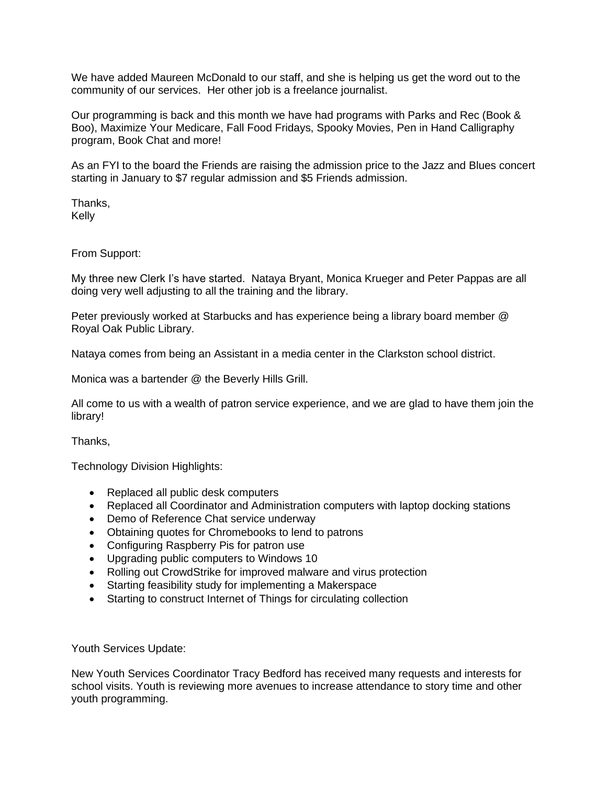We have added Maureen McDonald to our staff, and she is helping us get the word out to the community of our services. Her other job is a freelance journalist.

Our programming is back and this month we have had programs with Parks and Rec (Book & Boo), Maximize Your Medicare, Fall Food Fridays, Spooky Movies, Pen in Hand Calligraphy program, Book Chat and more!

As an FYI to the board the Friends are raising the admission price to the Jazz and Blues concert starting in January to \$7 regular admission and \$5 Friends admission.

Thanks, Kelly

From Support:

My three new Clerk I's have started. Nataya Bryant, Monica Krueger and Peter Pappas are all doing very well adjusting to all the training and the library.

Peter previously worked at Starbucks and has experience being a library board member @ Royal Oak Public Library.

Nataya comes from being an Assistant in a media center in the Clarkston school district.

Monica was a bartender @ the Beverly Hills Grill.

All come to us with a wealth of patron service experience, and we are glad to have them join the library!

Thanks,

Technology Division Highlights:

- Replaced all public desk computers
- Replaced all Coordinator and Administration computers with laptop docking stations
- Demo of Reference Chat service underway
- Obtaining quotes for Chromebooks to lend to patrons
- Configuring Raspberry Pis for patron use
- Upgrading public computers to Windows 10
- Rolling out CrowdStrike for improved malware and virus protection
- Starting feasibility study for implementing a Makerspace
- Starting to construct Internet of Things for circulating collection

Youth Services Update:

New Youth Services Coordinator Tracy Bedford has received many requests and interests for school visits. Youth is reviewing more avenues to increase attendance to story time and other youth programming.